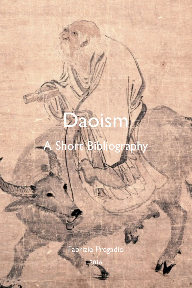Fabrizio Pregadio

2016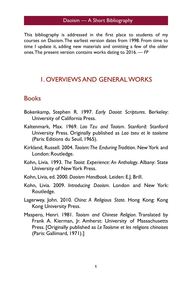This bibliography is addressed in the first place to students of my courses on Daoism. The earliest version dates from 1998. From time to time I update it, adding new materials and omitting a few of the older ones. The present version contains works dating to 2016. — *FP*

# 1. OVERVIEWS AND GENERAL WORKS

# **Books**

- Bokenkamp, Stephen R. 1997. *Early Daoist Scriptures*. Berkeley: University of California Press.
- Kaltenmark, Max. 1969. *Lao Tzu and Taoism*. Stanford: Stanford University Press. Originally published as *Lao tseu et le taoïsme* (Paris: Editions du Seuil, 1965).
- Kirkland, Russell. 2004. *Taoism: The Enduring Tradition*. New York and London: Routledge.
- Kohn, Livia. 1993. *The Taoist Experience: An Anthology*. Albany: State University of New York Press.
- Kohn, Livia, ed. 2000. *Daoism Handbook*. Leiden: E.J. Brill.
- Kohn, Livia. 2009. *Introducing Daoism*. London and New York: Routledge.
- Lagerwey, John. 2010. *China: A Religious State*. Hong Kong: Kong Kong University Press.
- Maspero, Henri. 1981. *Taoism and Chinese Religion*. Translated by Frank A. Kierman, Jr. Amherst: University of Massachusetts Press. [Originally published as *Le Taoïsme et les religions chinoises* (Paris: Gallimard, 1971).]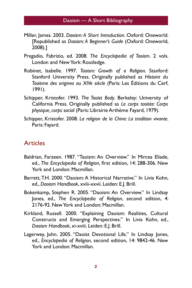- Miller, James. 2003. *Daoism: A Short Introduction*. Oxford: Oneworld. [Republished as *Daoism: A Beginner's Guide* (Oxford: Oneworld, 2008).]
- Pregadio, Fabrizio, ed. 2008. *The Encyclopedia of Taoism*. 2 vols. London and New York: Routledge.
- Robinet, Isabelle. 1997. *Taoism: Growth of a Religion*. Stanford: Stanford University Press. Originally published as *Histoire du Taoïsme des origines au XIVe siècle* (Paris: Les Éditions du Cerf, 1991).
- Schipper, Kristofer. 1993. *The Taoist Body*. Berkeley: University of California Press. Originally published as *Le corps taoïste: Corps physique, corps social* (Paris: Librairie Arthème Fayard, 1979).
- Schipper, Kristofer. 2008. *La religion de la Chine: La tradition vivante*. Paris: Fayard.

#### **Articles**

- Baldrian, Farzeen. 1987. "Taoism: An Overview." In Mircea Eliade, ed., *The Encyclopedia of Religion*, first edition, 14: 288-306. New York and London: Macmillan.
- Barrett, T.H. 2000. "Daoism: A Historical Narrative." In Livia Kohn, ed., *Daoism Handbook*, xviii-xxvii. Leiden: E.J. Brill.
- Bokenkamp, Stephen R. 2005. "Daoism: An Overview." In Lindsay Jones, ed., *The Encyclopedia of Religion*, second edition, 4: 2176-92. New York and London: Macmillan.
- Kirkland, Russell. 2000. "Explaining Daoism: Realities, Cultural Constructs and Emerging Perspectives." In Livia Kohn, ed., *Daoism Handbook*, xi-xviii. Leiden: E.J. Brill.
- Lagerwey, John. 2005. "Daoist Devotional Life." In Lindsay Jones, ed., *Encyclopedia of Religion*, second edition, 14: 9842-46. New York and London: Macmillan.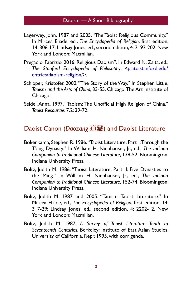- Lagerwey, John. 1987 and 2005. "The Taoist Religious Community." In Mircea Eliade, ed., *The Encyclopedia of Religion*, first edition, 14: 306-17; Lindsay Jones, ed., second edition, 4: 2192-202. New York and London: Macmillan.
- Pregadio, Fabrizio. 2016. Religious Daoism". In Edward N. Zalta, ed., [The Stanford Encyclopedia of Philosophy](http://plato.stanford.edu/entries/daoism-religion/). <plato.stanford.edu/ entries/daoism-religion/>.
- Schipper, Kristofer. 2000. "The Story of the Way." In Stephen Little, *Taoism and the Arts of China*, 33-55. Chicago: The Art Institute of Chicago.
- Seidel, Anna. 1997. "Taoism: The Unofficial High Religion of China." *Taoist Resources* 7.2: 39-72.

Daoist Canon (*Daozang* 道藏) and Daoist Literature

- Bokenkamp, Stephen R. 1986. "Taoist Literature. Part I: Through the T'ang Dynasty." In William H. Nienhauser, Jr., ed., *The Indiana Companion to Traditional Chinese Literature*, 138-52. Bloomington: Indiana University Press.
- Boltz, Judith M. 1986. "Taoist Literature. Part II: Five Dynasties to the Ming." In William H. Nienhauser, Jr., ed., *The Indiana Companion to Traditional Chinese Literature*, 152-74. Bloomington: Indiana University Press.
- Boltz, Judith M. 1987 and 2005. "Taoism: Taoist Literature." In Mircea Eliade, ed., *The Encyclopedia of Religion*, first edition, 14: 317-29; Lindsay Jones, ed., second edition, 4: 2202-12. New York and London: Macmillan.
- Boltz, Judith M. 1987. *A Survey of Taoist Literature: Tenth to Seventeenth Centuries*. Berkeley: Institute of East Asian Studies, University of California. Repr. 1995, with corrigenda.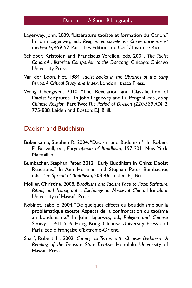- Lagerwey, John. 2009. "Littérature taoïste et formation du Canon." In John Lagerwey, ed., *Religion et société en Chine ancienne et médiévale*, 459-92. Paris, Les Éditions du Cerf / Institute Ricci.
- Schipper, Kristofer, and Franciscus Verellen, eds. 2004. *The Taoist Canon: A Historical Companion to the Daozang*. Chicago: Chicago University Press.
- Van der Loon, Piet. 1984. *Taoist Books in the Libraries of the Sung Period: A Critical Study and Index*. London: Ithaca Press.
- Wang Chengwen. 2010. "The Revelation and Classification of Daoist Scriptures." In John Lagerwey and Lü Pengzhi, eds., *Early Chinese Religion*, Part Two: *The Period of Division (220-589 AD)*, 2: 775-888. Leiden and Boston: E.J. Brill.

#### Daoism and Buddhism

- Bokenkamp, Stephen R. 2004, "Daoism and Buddhism." In Robert E. Buswell, ed., *Encyclopedia of Buddhism*, 197-201. New York: Macmillan.
- Bumbacher, Stephan Peter. 2012. "Early Buddhism in China: Daoist Reactions." In Ann Heirman and Stephan Peter Bumbacher, eds., *The Spread of Buddhism*, 203-46. Leiden: E.J. Brill.
- Mollier, Christine. 2008. *Buddhism and Taoism Face to Face: Scripture, Ritual, and Iconographic Exchange in Medieval China*. Honolulu: University of Hawai'i Press.
- Robinet, Isabelle. 2004. "De quelques effects du bouddhisme sur la problématique taoïste: Aspects de la confrontation du taoïsme au bouddhisme." In John Jagerwey, ed., *Religion and Chinese Society*, 1: 411-516. Hong Kong: Chinese University Press and Paris: École Française d'Extrême-Orient.
- Sharf, Robert H. 2002. *Coming to Terms with Chinese Buddhism: A Reading of the Treasure Store Treatise*. Honolulu: University of Hawai'i Press.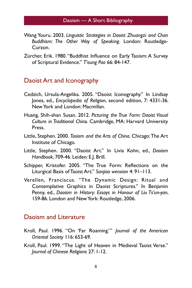- Wang Youru. 2003. *Linguistic Strategies in Daoist Zhuangzi and Chan Buddhism: The Other Way of Speaking*. London: Routledge-Curzon.
- Zürcher, Erik. 1980. "Buddhist Influence on Early Taoism: A Survey of Scriptural Evidence." *T'oung Pao* 66: 84-147.

#### Daoist Art and Iconography

- Cedzich, Ursula-Angelika. 2005. "Daoist Iconography." In Lindsay Jones, ed., *Encyclopedia of Religion*, second edition, 7: 4331-36. New York and London: Macmillan.
- Huang, Shih-shan Susan. 2012. *Picturing the True Form: Daoist Visual Culture in Traditional Chin*a. Cambridge, MA: Harvard University Press.
- Little, Stephen. 2000. *Taoism and the Arts of China*. Chicago: The Art Institute of Chicago.
- Little, Stephen. 2000. "Daoist Art." In Livia Kohn, ed., *Daoism Handbook*, 709-46. Leiden: E.J. Brill.
- Schipper, Kristofer. 2005. "The True Form: Reflections on the Liturgical Basis of Taoist Art." *Sanjiao wenxian* 4: 91–113.
- Verellen, Franciscus. "The Dynamic Design: Ritual and Contemplative Graphics in Daoist Scriptures." In Benjamin Penny, ed., *Daoism in History: Essays in Honour of Liu Ts'un-yan*, 159-86. London and New York: Routledge, 2006.

## Daoism and Literature

- Kroll, Paul. 1996. "On 'Far Roaming.'" *Journal of the American Oriental Society* 116: 653-69.
- Kroll, Paul. 1999. "The Light of Heaven in Medieval Taoist Verse." *Journal of Chinese Religions* 27: 1-12.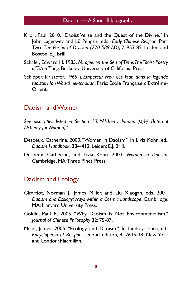- Kroll, Paul. 2010. "Daoist Verse and the Quest of the Divine." In John Lagerwey and Lü Pengzhi, eds., *Early Chinese Religion*, Part Two: *The Period of Division (220-589 AD)*, 2: 953-85. Leiden and Boston: E.J. Brill.
- Schafer, Edward H. 1985. *Mirages on the Sea of Time: The Taoist Poetry of Ts'ao T'ang*. Berkeley: University of California Press.
- Schipper, Kristofer. 1965. *L'Empereur Wou des Han dans la legende taoiste: Han Wou-ti nei-tchouan*. Paris: École Française d'Extrême-Orient.

#### Daoism and Women

*See also titles listed in Section 10: "Alchemy: Nüdan* 穇Ԅ *(Internal Alchemy for Women)"*

- Despeux, Catherine. 2000. "Women in Daoism." In Livia Kohn, ed., *Daoism Handbook*, 384-412. Leiden: E.J. Brill.
- Despeux, Catherine, and Livia Kohn. 2003. *Women in Daoism*. Cambridge, MA: Three Pines Press.

#### Daoism and Ecology

- Girardot, Norman J., James Miller, and Liu Xiaogan, eds. 2001. *Daoism and Ecology: Ways within a Cosmic Landscape*. Cambridge, MA: Harvard University Press.
- Goldin, Paul R. 2005. "Why Daoism Is Not Environmentalism." *Journal of Chinese Philosophy* 32: 75-87.
- Miller, James. 2005. "Ecology and Daoism." In Lindsay Jones, ed., *Encyclopedia of Religion*, second edition, 4: 2635-38. New York and London: Macmillan.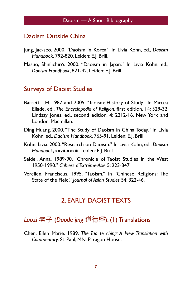#### Daoism Outside China

- Jung, Jae-seo. 2000. "Daoism in Korea." In Livia Kohn, ed., *Daoism Handbook*, 792-820. Leiden: E.J. Brill.
- Masuo, Shin'ichirō. 2000. "Daoism in Japan." In Livia Kohn, ed., *Daoism Handbook*, 821-42. Leiden: E.J. Brill.

#### Surveys of Daoist Studies

- Barrett, T.H. 1987 and 2005. "Taoism: History of Study." In Mircea Eliade, ed., *The Encyclopedia of Religion*, first edition, 14: 329-32; Lindsay Jones, ed., second edition, 4: 2212-16. New York and London: Macmillan.
- Ding Huang. 2000. "The Study of Daoism in China Today." In Livia Kohn, ed., *Daoism Handbook*, 765-91. Leiden: E.J. Brill.
- Kohn, Livia. 2000. "Research on Daoism." In Livia Kohn, ed., *Daoism Handbook*, xxvii-xxxiii. Leiden: E.J. Brill.
- Seidel, Anna. 1989-90. "Chronicle of Taoist Studies in the West 1950-1990." *Cahiers d'Extrême-Asie* 5: 223-347.
- Verellen, Franciscus. 1995. "Taoism," in "Chinese Religions: The State of the Field." *Journal of Asian Studies* 54: 322-46.

# 2. EARLY DAOIST TEXTS

# Laozi 老子 (Daode jing 道德經): (1) Translations

Chen, Ellen Marie. 1989. *The Tao te ching: A New Translation with Commentary*. St. Paul, MN: Paragon House.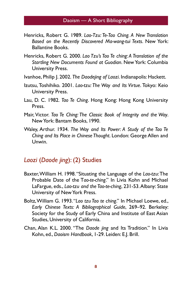- Henricks, Robert G. 1989. *Lao-Tzu: Te-Tao Ching. A New Translation Based on the Recently Discovered Ma-wang-tui Texts*. New York: Ballantine Books.
- Henricks, Robert G. 2000. *Lao Tzu's Tao Te ching: A Translation of the Startling New Documents Found at Guodian*. New York: Columbia University Press.
- Ivanhoe, Philip J. 2002. *The Daodejing of Laozi*. Indianapolis: Hackett.
- Izutsu, Toshihiko. 2001. *Lao-tzu: The Way and Its Virtue*. Tokyo: Keio University Press.
- Lau, D. C. 1982. *Tao Te Ching*. Hong Kong: Hong Kong University Press.
- Mair, Victor. *Tao Te Ching: The Classic Book of Integrity and the Way*. New York: Bantam Books, 1990.
- Waley, Arthur. 1934. *The Way and Its Power: A Study of the Tao Te Ching and Its Place in Chinese Thought*. London: George Allen and Unwin.

#### *Laozi* (*Daode jing*): (2) Studies

- Baxter, William H. 1998. "Situating the Language of the *Lao-tzu*: The Probable Date of the T*ao-te-ching*." In Livia Kohn and Michael LaFargue, eds., *Lao-tzu and the Tao-te-ching*, 231-53. Albany: State University of New York Press.
- Boltz, William G. 1993. "*Lao tzu Tao te ching*." In Michael Loewe, ed., *Early Chinese Texts: A Bibliographical Guide*, 269–92. Berkeley: Society for the Study of Early China and Institute of East Asian Studies, University of California.
- Chan, Alan K.L. 2000. "The *Daode jing* and Its Tradition." In Livia Kohn, ed., *Daoism Handbook*, 1-29. Leiden: E.J. Brill.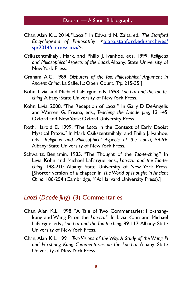- Chan, Alan K.L. 2014. "Laozi." In Edward N. Zalta, ed., *The Stanford*  Encyclopedia of Philosophy[. <plato.stanford.edu/archives/](http://plato.stanford.edu/archives/spr2014/entries/laozi/) spr2014/entries/laozi/>.
- Csikszentmihalyi, Mark, and Philip J. Ivanhoe, eds. 1999. *Religious and Philosophical Aspects of the Laozi*. Albany: State University of New York Press.
- Graham, A.C. 1989. *Disputers of the Tao: Philosophical Argument in Ancient China*. La Salle, IL: Open Court. [Pp. 215-35.]
- Kohn, Livia, and Michael LaFargue, eds. 1998. *Lao-tzu and the Tao-teching*. Albany: State University of New York Press.
- Kohn, Livia. 2008. "The Reception of Laozi." In Gary D. DeAngelis and Warren G. Frisina, eds., *Teaching the Daode Jing*, 131-45. Oxford and New York: Oxford University Press.
- Roth, Harold D. 1999. "The *Laozi* in the Context of Early Daoist Mystical Praxis." In Mark Csikszentmihalyi and Philip J. Ivanhoe, eds., *Religious and Philosophical Aspects of the Laozi*, 59-96. Albany: State University of New York Press.
- Schwartz, Benjamin. 1985. "The Thought of the *Tao-te-ching*." In Livia Kohn and Michael LaFargue, eds., *Lao-tzu and the Tao-teching*, 198-210. Albany: State University of New York Press. [Shorter version of a chapter in *The World of Thought in Ancient China*, 186-254 (Cambridge, MA: Harvard University Press).]

# *Laozi* (*Daode jing*): (3) Commentaries

- Chan, Alan K.L. 1998. "A Tale of Two Commentaries: Ho-shangkung and Wang Pi on the *Lao-tzu*." In Livia Kohn and Michael LaFargue, eds., *Lao-tzu and the Tao-te-ching*, 89-117. Albany: State University of New York Press.
- Chan, Alan K.L. 1991. *Two Visions of the Way: A Study of the Wang Pi and Ho-shang Kung Commentaries on the Lao-tzu*. Albany: State University of New York Press.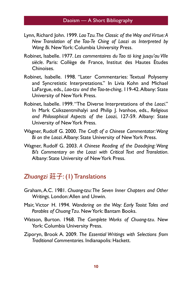- Lynn, Richard John. 1999. *Lao Tzu. The Classic of the Way and Virtue: A New Translation of the Tao-Te Ching of Laozi as Interpreted by Wang Bi*. New York: Columbia University Press.
- Robinet, Isabelle. 1977. *Les commentaires du Tao tö king jusqu'au VIIe siècle*. Paris: Collège de France, Institut des Hautes Études Chinoises.
- Robinet, Isabelle. 1998. "Later Commentaries: Textual Polysemy and Syncretistic Interpretations." In Livia Kohn and Michael LaFargue, eds., *Lao-tzu and the Tao-te-ching*, 119-42. Albany: State University of New York Press.
- Robinet, Isabelle. 1999. "The Diverse Interpretations of the *Laozi*." In Mark Csikszentmihalyi and Philip J. Ivanhoe, eds., *Religious and Philosophical Aspects of the Laozi*, 127-59. Albany: State University of New York Press.
- Wagner, Rudolf G. 2000. *The Craft of a Chinese Commentator: Wang Bi on the Laozi*. Albany: State University of New York Press.
- Wagner, Rudolf G. 2003. *A Chinese Reading of the Daodejing: Wang Bi's Commentary on the Laozi with Critical Text and Translation*. Albany: State University of New York Press.

# **Zhuangzi** 莊子: (1) Translations

- Graham, A.C. 1981. *Chuang-tzu: The Seven Inner Chapters and Other Writings*. London: Allen and Unwin.
- Mair, Victor H. 1994. *Wandering on the Way: Early Taoist Tales and Parables of Chuang Tzu*. New York: Bantam Books.
- Watson, Burton. 1968. *The Complete Works of Chuang-tzu*. New York: Columbia University Press.
- Ziporyn, Brook A. 2009. *The Essential Writings with Selections from Traditional Commentaries*. Indianapolis: Hackett.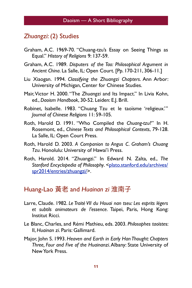#### *Zhuangzi*: (2) Studies

- Graham, A.C. 1969-70. "Chuang-tzu's Essay on Seeing Things as Equal." *History of Religions* 9: 137-59.
- Graham, A.C. 1989. *Disputers of the Tao: Philosophical Argument in Ancient China*. La Salle, IL: Open Court. [Pp. 170-211, 306-11.]
- Liu Xiaogan. 1994. *Classifying the Zhuangzi Chapters*. Ann Arbor: University of Michigan, Center for Chinese Studies.
- Mair, Victor H. 2000. "The *Zhuangzi* and Its Impact." In Livia Kohn, ed., *Daoism Handbook*, 30-52. Leiden: E.J. Brill.
- Robinet, Isabelle. 1983. "Chuang Tzu et le taoïsme 'religieux.'" *Journal of Chinese Religions* 11: 59-105.
- Roth, Harold D. 1991. "Who Compiled the *Chuang-tzu*?" In H. Rosemont, ed., *Chinese Texts and Philosophical Contexts*, 79-128. La Salle, IL: Open Court Press.
- Roth, Harold D. 2003. *A Companion to Angus C. Graham's Chuang Tzu*. Honolulu: University of Hawai'i Press.
- Roth, Harold. 2014. "Zhuangzi." In Edward N. Zalta, ed., *The*  [Stanford Encyclopedia of Philosophy](http://plato.stanford.edu/archives/spr2014/entries/zhuangzi/). <plato.stanford.edu/archives/ spr2014/entries/zhuangzi/>.

# Huang-Lao 黃老 and *Huainan zi* 淮南子

- Larre, Claude. 1982. *Le Traité VII du Houai nan tseu: Les esprits légers et subtils animateurs de l'essence*. Taipei, Paris, Hong Kong: Institut Ricci.
- Le Blanc, Charles, and Rémi Mathieu, eds. 2003. *Philosophes taoïste*s: II, *Huainan zi*. Paris: Gallimard.
- Major, John S. 1993. *Heaven and Earth in Early Han Thought: Chapters Three, Four and Five of the Huainanzi*. Albany: State University of New York Press.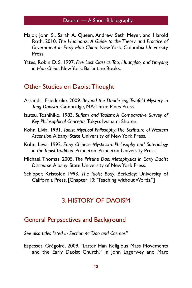- Major, John S., Sarah A. Queen, Andrew Seth Meyer, and Harold Roth. 2010. *The Huainanzi: A Guide to the Theory and Practice of Government in Early Han China*. New York: Columbia University Press.
- Yates, Robin D. S. 1997. *Five Lost Classics: Tao, Huanglao, and Yin-yang in Han China*. New York: Ballantine Books.

#### Other Studies on Daoist Thought

- Assandri, Friederike. 2009. *Beyond the Daode jing: Twofold Mystery in Tang Daoism*. Cambridge, MA: Three Pines Press.
- Izutsu, Toshihiko. 1983. *Sufism and Taoism: A Comparative Survey of Key Philosophical Concepts*. Tokyo: Iwanami Shoten.
- Kohn, Livia. 1991. *Taoist Mystical Philosophy: The Scripture of Western Ascension*. Albany: State University of New York Press.
- Kohn, Livia. 1992. *Early Chinese Mysticism: Philosophy and Soteriology in the Taoist Tradition*. Princeton: Princeton University Press.
- Michael, Thomas. 2005. *The Pristine Dao: Metaphysics in Early Daoist Discourse*. Albany: State University of New York Press.
- Schipper, Kristofer. 1993. *The Taoist Body*. Berkeley: University of California Press. [Chapter 10: "Teaching without Words."]

#### 3. HISTORY OF DAOISM

#### General Perpsectives and Background

*See also titles listed in Section 4: "Dao and Cosmos"*

Espesset, Grégoire. 2009. "Latter Han Religious Mass Movements and the Early Daoist Church." In John Lagerwey and Marc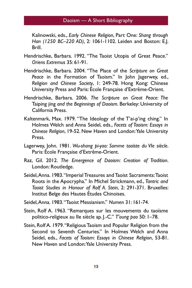Kalinowski, eds., *Early Chinese Religion*, Part One: *Shang through Han (1250 BC–220 AD)*, 2: 1061-1102. Leiden and Boston: E.J. Brill.

- Hendrischke, Barbara. 1992. "The Taoist Utopia of Great Peace." *Oriens Extremus* 35: 61-91.
- Hendrischke, Barbara. 2004. "The Place of the *Scripture on Great Peace* in the Formation of Taoism." In John Jagerwey, ed., *Religion and Chinese Society*, 1: 249-78. Hong Kong: Chinese University Press and Paris: École Française d'Extrême-Orient.
- Hendrischke, Barbara. 2006. *The Scripture on Great Peace: The*  Taiping jing *and the Beginnings of Daoism*. Berkeley: University of California Press.
- Kaltenmark, Max. 1979. "The Ideology of the T'ai-p'ing ching." In Holmes Welch and Anna Seidel, eds., *Facets of Taoism: Essays in Chinese Religion*, 19-52. New Haven and London: Yale University Press.
- Lagerwey, John. 1981. *Wu-shang pi-yao: Somme taoïste du VIe siècle*. Paris: École Française d'Extrême-Orient.
- Raz, Gil. 2012. *The Emergence of Daoism: Creation of Tradition*. London: Routledge.
- Seidel, Anna. 1983. "Imperial Treasures and Taoist Sacraments: Taoist Roots in the Apocrypha." In Michel Strickmann, ed., *Tantric and Taoist Studies in Honour of Rolf A. Stein*, 2: 291-371. Bruxelles: Institut Belge des Hautes Études Chinoises.
- Seidel, Anna. 1983. "Taoist Messianism." *Numen* 31: 161-74.
- Stein, Rolf A. 1963. "Remarques sur les mouvements du taoïsme politico-religieux au IIe siècle ap. J.-C." *T'oung pao* 50: 1–78.
- Stein, Rolf A. 1979. "Religious Taoism and Popular Religion from the Second to Seventh Centuries." In Holmes Welch and Anna Seidel, eds., *Facets of Taoism: Essays in Chinese Religion*, 53-81. New Haven and London: Yale University Press.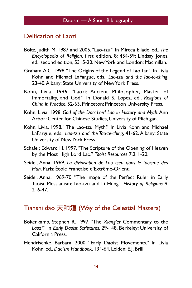#### Deification of Laozi

- Boltz, Judith M. 1987 and 2005. "Lao-tzu." In Mircea Eliade, ed., *The Encyclopedia of Religion*, first edition, 8: 454-59; Lindsay Jones, ed., second edition, 5315-20. New York and London: Macmillan.
- Graham, A.C. 1998. "The Origins of the Legend of Lao Tan." In Livia Kohn and Michael LaFargue, eds., *Lao-tzu and the Tao-te-ching*, 23-40. Albany: State University of New York Press.
- Kohn, Livia. 1996. "Laozi: Ancient Philosopher, Master of Immortality, and God." In Donald S. Lopez, ed., *Religions of China in Practice*, 52-63. Princeton: Princeton University Press.
- Kohn, Livia. 1998. *God of the Dao: Lord Lao in History and Myth*. Ann Arbor: Center for Chinese Studies, University of Michigan.
- Kohn, Livia. 1998. "The Lao-tzu Myth." In Livia Kohn and Michael LaFargue, eds., *Lao-tzu and the Tao-te-ching*, 41-62. Albany: State University of New York Press.
- Schafer, Edward H. 1997. "The Scripture of the Opening of Heaven by the Most High Lord Lao." *Taoist Resources* 7.2: 1-20.
- Seidel, Anna. 1969. *La divinisation de Lao tseu dans le Taoïsme des Han*. Paris: École Française d'Extrême-Orient.
- Seidel, Anna. 1969-70. "The Image of the Perfect Ruler in Early Taoist Messianism: Lao-tzu and Li Hung." *History of Religions* 9: 216-47.

## Tianshi dao 天師道 (Way of the Celestial Masters)

- Bokenkamp, Stephen R. 1997. "The *Xiang'er* Commentary to the *Laozi*." In *Early Daoist Scriptures*, 29-148. Berkeley: University of California Press.
- Hendrischke, Barbara. 2000. "Early Daoist Movements." In Livia Kohn, ed., *Daoism Handbook*, 134-64. Leiden: E.J. Brill.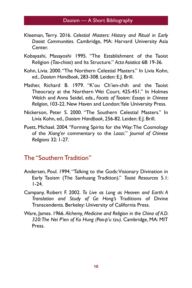- Kleeman, Terry. 2016. *Celestial Masters: History and Ritual in Early Daoist Communities*. Cambridge, MA: Harvard University Asia Center.
- Kobayashi, Masayoshi 1995. "The Establishment of the Taoist Religion (*Tao-chiao*) and Its Structure." *Acta Asiatica* 68: 19-36.
- Kohn, Livia. 2000. "The Northern Celestial Masters." In Livia Kohn, ed., *Daoism Handbook*, 283-308. Leiden: E.J. Brill.
- Mather, Richard B. 1979. "K'ou Ch'ien-chih and the Taoist Theocracy at the Northern Wei Court, 425-451." In Holmes Welch and Anna Seidel, eds., *Facets of Taoism: Essays in Chinese Religion*, 103-22. New Haven and London: Yale University Press.
- Nickerson, Peter S. 2000. "The Southern Celestial Masters." In Livia Kohn, ed., *Daoism Handbook*, 256-82. Leiden: E.J. Brill.
- Puett, Michael. 2004. "Forming Spirits for the Way: The Cosmology of the *Xiang'er* commentary to the *Laozi.*" *Journal of Chinese Religions* 32: 1-27.

# The "Southern Tradition"

- Andersen, Poul. 1994. "Talking to the Gods: Visionary Divination in Early Taoism (The Sanhuang Tradition)." *Taoist Resources* 5.1: 1-24.
- Campany, Robert F. 2002. *To Live as Long as Heaven and Earth: A Translation and Study of Ge Hong's* Traditions of Divine Transcendents. Berkeley: University of California Press.
- Ware, James. 1966. *Alchemy, Medicine and Religion in the China of A.D. 320: The Nei P'ien of Ko Hung (Pao-p'u tzu)*. Cambridge, MA: MIT Press.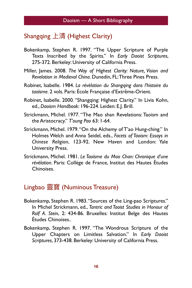# Shangqing  $\pm$ 清 (Highest Clarity)

- Bokenkamp, Stephen R. 1997. "The Upper Scripture of Purple Texts Inscribed by the Spirits." In *Early Daoist Scriptures*, 275-372. Berkeley: University of California Press.
- Miller, James. 2008. *The Way of Highest Clarity: Nature, Vision and Revelation in Medieval China*. Dunedin, FL: Three Pines Press.
- Robinet, Isabelle. 1984. *La révélation du Shangqing dans l'histoire du taoïsme*. 2 vols. Paris: École Française d'Extrême-Orient.
- Robinet, Isabelle. 2000. "Shangqing: Highest Clarity." In Livia Kohn, ed., *Daoism Handbook*: 196-224. Leiden: E.J. Brill.
- Strickmann, Michel. 1977. "The Mao shan Revelations: Taoism and the Aristocracy." *T'oung Pao* 63: 1-64.
- Strickmann, Michel. 1979. "On the Alchemy of T'ao Hung-ching." In Holmes Welch and Anna Seidel, eds., *Facets of Taoism: Essays in Chinese Religion*, 123-92. New Haven and London: Yale University Press.
- Strickmann, Michel. 1981. *Le Taoïsme du Mao Chan: Chronique d'une révélation*. Paris: Collège de France, Institut des Hautes Études Chinoises.

# Lingbao 靈寶 (Numinous Treasure)

- Bokenkamp, Stephen R. 1983. "Sources of the Ling-pao Scriptures." In Michel Strickmann, ed., *Tantric and Taoist Studies in Honour of Rolf A. Stein*, 2: 434-86. Bruxelles: Institut Belge des Hautes Études Chinoises..
- Bokenkamp, Stephen R. 1997. "The Wondrous Scripture of the Upper Chapters on Limitless Salvation." In *Early Daoist Scriptures*, 373-438. Berkeley: University of California Press.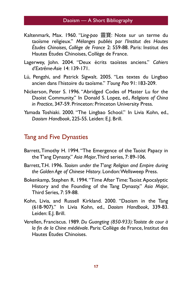- Kaltenmark, Max. 1960. "*Ling-pao* 覄䌌: Note sur un terme du taoïsme religieux." *Mélanges publiés par l'Institut des Hautes Études Chinoises, Collège de France* 2: 559-88. Paris: Institut des Hautes Études Chinoises, Collège de France.
- Lagerwey, John. 2004. "Deux écrits taoïstes anciens." *Cahiers d'Extrême-Asie* 14: 139-171.
- Lü, Pengzhi, and Patrick Sigwalt. 2005. "Les textes du Lingbao ancien dans l'histoire du taoïsme." *T'oung Pao* 91: 183-209.
- Nickerson, Peter S. 1996. "Abridged Codes of Master Lu for the Daoist Community." In Donald S. Lopez, ed., *Religions of China in Practice*, 347-59. Princeton: Princeton University Press.
- Yamada Toshiaki. 2000. "The Lingbao School." In Livia Kohn, ed., *Daoism Handbook*, 225-55. Leiden: E.J. Brill.

## Tang and Five Dynasties

- Barrett, Timothy H. 1994. "The Emergence of the Taoist Papacy in the T'ang Dynasty." *Asia Major*, Third series, 7: 89-106.
- Barrett, T.H. 1996. *Taoism under the T'ang: Religion and Empire during the Golden Age of Chinese History*. London: Wellsweep Press.
- Bokenkamp, Stephen R. 1994. "Time After Time: Taoist Apocalyptic History and the Founding of the Tang Dynasty." *Asia Major*, Third Series, 7: 59-88.
- Kohn, Livia, and Russell Kirkland. 2000. "Daoism in the Tang (618-907)." In Livia Kohn, ed., *Daoism Handbook*, 339-83. Leiden: E.J. Brill.
- Verellen, Franciscus. 1989. *Du Guangting (850-933): Taoïste de cour à la fin de la Chine médiévale*. Paris: Collège de France, Institut des Hautes Études Chinoises.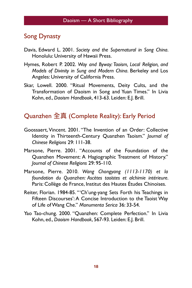#### Song Dynasty

- Davis, Edward L. 2001. *Society and the Supernatural in Song China*. Honolulu: University of Hawaii Press.
- Hymes, Robert P. 2002. *Way and Byway: Taoism, Local Religion, and Models of Divinity in Sung and Modern China*. Berkeley and Los Angeles: University of California Press.
- Skar, Lowell. 2000. "Ritual Movements, Deity Cults, and the Transformation of Daoism in Song and Yuan Times." In Livia Kohn, ed., *Daoism Handbook*, 413-63. Leiden: E.J. Brill.

# Quanzhen 全真 (Complete Reality): Early Period

- Goossaert, Vincent. 2001. "The Invention of an Order: Collective Identity in Thirteenth-Century Quanzhen Taoism." *Journal of Chinese Religions* 29: 111-38.
- Marsone, Pierre. 2001. "Accounts of the Foundation of the Quanzhen Movement: A Hagiographic Treatment of History." *Journal of Chinese Religions* 29: 95-110.
- Marsone, Pierre. 2010. *Wang Chongyang (1113-1170) et la foundation du Quanzhen: Ascètes taoïstes et alchimie intérieure*. Paris: Collège de France, Institut des Hautes Études Chinoises.
- Reiter, Florian. 1984-85. "'Ch'ung-yang Sets Forth his Teachings in Fifteen Discourses': A Concise Introduction to the Taoist Way of Life of Wang Che." *Monumenta Serica* 36: 33-54.
- Yao Tao-chung. 2000. "Quanzhen: Complete Perfection." In Livia Kohn, ed., *Daoism Handbook*, 567-93. Leiden: E.J. Brill.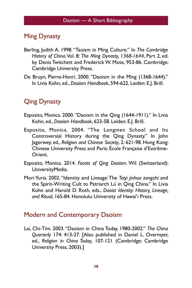# Ming Dynasty

- Berling, Judith A. 1998. "Taoism in Ming Culture." In *The Cambridge History of China*, Vol. 8: *The Ming Dynasty, 1368-1644*, Part 2, ed. by Denis Twitchett and Frederick W. Mote, 953-86. Cambridge: Cambridge University Press.
- De Bruyn, Pierre-Henri. 2000. "Daoism in the Ming (1368-1644)." In Livia Kohn, ed., *Daoism Handbook*, 594-622. Leiden: E.J. Brill.

# Qing Dynasty

- Esposito, Monica. 2000. "Daoism in the Qing (1644-1911)." In Livia Kohn, ed., *Daoism Handbook*, 623-58. Leiden: E.J. Brill.
- Esposito, Monica. 2004. "The Longmen School and Its Controversial History during the Qing Dynasty." In John Jagerwey, ed., *Religion and Chinese Society*, 2: 621-98. Hong Kong: Chinese University Press and Paris: École Française d'Extrême-Orient.
- Esposito, Monica. 2014. *Facets of Qing Daoism*. Wil (Switzerland): UniversityMedia.
- Mori Yuria. 2002. "Identity and Lineage: The *Taiyi jinhua zongzhi* and the Spirit-Writing Cult to Patriarch Lü in Qing China." In Livia Kohn and Harold D. Roth, eds., *Daoist Identity: History, Lineage, and Ritual*, 165-84. Honolulu: University of Hawai'i Press.

#### Modern and Contemporary Daoism

Lai, Chi-Tim. 2003. "Daoism in China Today, 1980-2002." *The China Quarterly* 174: 413-27. [Also published in Daniel L. Overmyer, ed., *Religion in China Today*, 107-121 (Cambridge: Cambridge University Press, 2003).]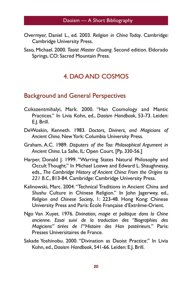- Overmyer, Daniel L., ed. 2003. *Religion in China Today*. Cambridge: Cambridge University Press.
- Saso, Michael. 2000. *Taoist Master Chuang*. Second edition. Eldorado Springs, CO: Sacred Mountain Press.

# 4. DAO AND COSMOS

## Background and General Perspectives

- Csikszentmihalyi, Mark. 2000. "Han Cosmology and Mantic Practices." In Livia Kohn, ed., *Daoism Handbook*, 53-73. Leiden: E.J. Brill.
- DeWoskin, Kenneth. 1983. *Doctors, Diviners, and Magicians of Ancient China*. New York: Columbia University Press.
- Graham, A.C. 1989. *Disputers of the Tao: Philosophical Argument in Ancient China*. La Salle, IL: Open Court. [Pp. 330-56.]
- Harper, Donald J. 1999. "Warring States Natural Philosophy and Occult Thought." In Michael Loewe and Edward L. Shaughnessy, eds., *The Cambridge History of Ancient China: From the Origins to 221 B.C*., 813-84. Cambridge: Cambridge University Press.
- Kalinowski, Marc. 2004. "Technical Traditions in Ancient China and *Shushu* Culture in Chinese Religion." In John Jagerwey, ed., *Religion and Chinese Society*, 1: 223-48. Hong Kong: Chinese University Press and Paris: École Française d'Extrême-Orient.
- Ngo Van Xuyet. 1976. *Divination, magie et politique dans la Chine ancienne. Essai suivi de la traduction des "Biographies des Magiciens" tirées de l'"Histoire des Han postérieurs."* Paris: Presses Universitaires de France.
- Sakade Yoshinobu. 2000. "Divination as Daoist Practice." In Livia Kohn, ed., *Daoism Handbook*, 541-66. Leiden: E.J. Brill.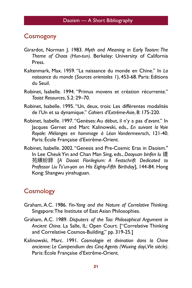#### **Cosmogony**

- Girardot, Norman J. 1983. *Myth and Meaning in Early Taoism: The Theme of Chaos (Hun-tun)*. Berkeley: University of California Press.
- Kaltenmark, Max. 1959. "La naissance du monde en Chine." In *La naissance du monde* (*Sources orientales 1*), 453-68. Paris: Editions du Seuil.
- Robinet, Isabelle. 1994. "Primus movens et création récurrente." *Taoist Resources*, 5.2: 29–70.
- Robinet, Isabelle. 1995. "Un, deux, trois: Les différentes modalités de l'Un et sa dynamique." *Cahiers d'Extrême-Asie*, 8: 175-220.
- Robinet, Isabelle. 1997. "Genèses: Au début, il n'y a pas d'avant." In Jacques Gernet and Marc Kalinowski, eds., *En suivant la Voie Royale: Mélanges en hommage à Léon Vandermeersch*, 121-40. Paris: École Française d'Extrême-Orient.
- Robinet, Isabelle. 2002. "Genesis and Pre-Cosmic Eras in Daoism." In Lee Cheuk Yin and Chan Man Sing, eds., *Daoyuan binfen lu* 道 舉媤羸袅 [*A Daoist Florilegium: A Festschrift Dedicated to Professor Liu Ts'un-yan on His Eighty-Fifth Birthday*], 144-84. Hong Kong: Shangwu yinshuguan.

# **Cosmology**

- Graham, A.C. 1986. *Yin-Yang and the Nature of Correlative Thinking*. Singapore: The Institute of East Asian Philosophies.
- Graham, A.C. 1989. *Disputers of the Tao: Philosophical Argument in Ancient China*. La Salle, IL: Open Court. ["Correlative Thinking and Correlative Cosmos-Building," pp. 319-25.]
- Kalinowski, Marc. 1991. *Cosmologie et divination dans la Chine ancienne: Le Compendium des Cinq Agents (Wuxing dayi, VIe siècle)*. Paris: École Française d'Extrême-Orient.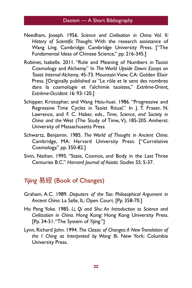- Needham, Joseph. 1956. *Science and Civilisation in China*. Vol. II: *History of Scientific Thought*. With the research assistance of Wang Ling. Cambridge: Cambridge University Press. ["The Fundamental Ideas of Chinese Science," pp. 216-345.]
- Robinet, Isabelle. 2011. "Role and Meaning of Numbers in Taoist Cosmology and Alchemy." In *The World Upside Down: Essays on Taoist Internal Alchemy*, 45-73. Mountain View, CA: Golden Elixir Press. [Originally published as "Le rôle et le sens des nombres dans la cosmologie et l'alchimie taoïstes," *Extrême-Orient, Extrême-Occident* 16: 93-120.]
- Schipper, Kristopher, and Wang Hsiu-huei. 1986. "Progressive and Regressive Time Cycles in Taoist Ritual." In J. T. Fraser, N. Lawrence, and F. C. Haber, eds., *Time, Science, and Society in China and the West* (The Study of Time, V), 185-205. Amherst: University of Massachusetts Press.
- Schwartz, Benjamin. 1985. *The World of Thought in Ancient China*. Cambridge, MA: Harvard University Press. ["Correlative Cosmology," pp. 350-82.]
- Sivin, Nathan. 1995. "State, Cosmos, and Body in the Last Three Centuries B.C." *Harvard Journal of Asiatic Studies* 55: 5-37.

## *Yijing* 易經 (Book of Changes)

- Graham, A.C. 1989. *Disputers of the Tao: Philosophical Argument in Ancient China*. La Salle, IL: Open Court. [Pp. 358-70.]
- Ho Peng Yoke. 1985. *Li, Qi and Shu: An Introduction to Science and Civilization in China*. Hong Kong: Hong Kong University Press. [Pp. 34-51: "The System of *Yijing*."]
- Lynn, Richard John. 1994. *The Classic of Changes: A New Translation of the I Ching as Interpreted by Wang Bi*. New York: Columbia University Press.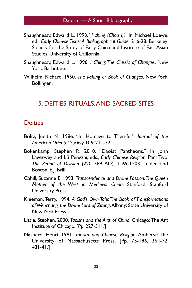- Shaughnessy, Edward L. 1993. "*I ching (Chou i)*." In Michael Loewe, ed., *Early Chinese Texts: A Bibliographical Guide*, 216-28. Berkeley: Society for the Study of Early China and Institute of East Asian Studies, University of California.
- Shaughnessy, Edward L. 1996. *I Ching: The Classic of Changes*. New York: Ballantine.
- Wilhelm, Richard. 1950. *The I-ching or Book of Changes*. New York: Bollingen.

#### 5. DEITIES, RITUALS, AND SACRED SITES

#### **Deities**

- Boltz, Judith M. 1986. "In Homage to T'ien-fei." *Journal of the American Oriental Society* 106: 211-32.
- Bokenkamp, Stephen R. 2010. "Daoist Pantheons." In John Lagerwey and Lü Pengzhi, eds., *Early Chinese Religion*, Part Two: *The Period of Division* (220–589 AD), 1169-1203. Leiden and Boston: E.J. Brill.
- Cahill, Suzanne E. 1993. *Transcendence and Divine Passion: The Queen Mother of the West in Medieval China*. Stanford: Stanford University Press.
- Kleeman, Terry. 1994. *A God's Own Tale: The Book of Transformations of Wenchang, the Divine Lord of Zitong*. Albany: State University of New York Press.
- Little, Stephen. 2000. *Taoism and the Arts of China*. Chicago: The Art Institute of Chicago. [Pp. 227-311.]
- Maspero, Henri. 1981. *Taoism and Chinese Religion*. Amherst: The University of Massachusetts Press. [Pp. 75-196, 364-72, 431-41.]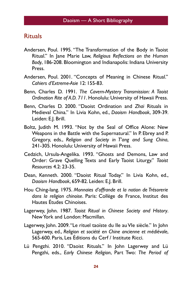## **Rituals**

- Andersen, Poul. 1995. "The Transformation of the Body in Taoist Ritual." In Jane Marie Law, *Religious Reflections on the Human Body*, 186-208. Bloomington and Indianapolis: Indiana University Press.
- Andersen, Poul. 2001. "Concepts of Meaning in Chinese Ritual." *Cahiers d'Extreme-Asie* 12: 155-83.
- Benn, Charles D. 1991. *The Cavern-Mystery Transmission: A Taoist Ordination Rite of A.D. 711*. Honolulu: University of Hawaii Press.
- Benn, Charles D. 2000. "Daoist Ordination and *Zhai* Rituals in Medieval China." In Livia Kohn, ed., *Daoism Handbook*, 309-39. Leiden: E.J. Brill.
- Boltz, Judith M. 1993. "Not by the Seal of Office Alone: New Weapons in the Battle with the Supernatural." In P. Ebrey and P. Gregory, eds., *Religion and Society in T'ang and Sung China*, 241-305. Honolulu: University of Hawaii Press.
- Cedzich, Ursula-Angelika. 1993. "Ghosts and Demons, Law and Order: Grave Quelling Texts and Early Taoist Liturgy." *Taoist Resources* 4.2: 23-35.
- Dean, Kenneth. 2000. "Daoist Ritual Today." In Livia Kohn, ed., *Daoism Handbook*, 659-82. Leiden: E.J. Brill.
- Hou Ching-lang. 1975. *Monnaies d'offrande et la notion de Trésorerie dans la religion chinoise*. Paris: Collège de France, Institut des Hautes Études Chinoises.
- Lagerwey, John. 1987. *Taoist Ritual in Chinese Society and History*. New York and London: Macmillan.
- Lagerwey, John. 2009. "Le rituel taoïste du IIe au VIe siècle." In John Lagerwey, ed., *Religion et société en Chine ancienne et médiévale*, 565-600. Paris, Les Éditions du Cerf / Institute Ricci.
- Lü Pengzhi. 2010. "Daoist Rituals." In John Lagerwey and Lü Pengzhi, eds., *Early Chinese Religion*, Part Two: *The Period of*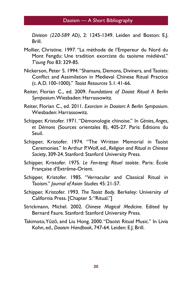*Division (220-589 AD)*, 2: 1245-1349. Leiden and Boston: E.J. Brill.

- Mollier, Christine. 1997. "La méthode de l'Empereur du Nord du Mont Fengdu: Une tradition exorciste du taoïsme médiéval." *T'oung Pao* 83: 329-85.
- Nickerson, Peter S. 1994. "Shamans, Demons, Diviners, and Taoists: Conflict and Assimilation in Medieval Chinese Ritual Practice (c. A.D. 100-1000)." *Taoist Resources* 5.1: 41-66.
- Reiter, Florian C., ed. 2009. *Foundations of Daoist Ritual: A Berlin Symposium*. Wiesbaden: Harrassowitz.
- Reiter, Florian C., ed. 2011. *Exorcism in Daoism: A Berlin Symposium*. Wiesbaden: Harrassowitz.
- Schipper, Kristofer. 1971. "Démonologie chinoise." In *Génies, Anges, et Démons* (Sources orientales 8), 405-27. Paris: Éditions du Seuil.
- Schipper, Kristofer. 1974. "The Written Memorial in Taoist Ceremonies." In Arthur P. Wolf, ed., *Religion and Ritual in Chinese Society*, 309-24. Stanford: Stanford University Press.
- Schipper, Kristofer. 1975. *Le Fen-teng: Rituel taoïste*. Paris: École Française d'Extrême-Orient.
- Schipper, Kristofer. 1985. "Vernacular and Classical Ritual in Taoism." *Journal of Asian Studies* 45: 21-57.
- Schipper, Kristofer. 1993. *The Taoist Body*. Berkeley: University of California Press. [Chapter 5: "Ritual."]
- Strickmann, Michel. 2002. *Chinese Magical Medicine*. Edited by Bernard Faure. Stanford: Stanford University Press.
- Takimoto, Yūzō, and Liu Hong. 2000. "Daoist Ritual Music." In Livia Kohn, ed., *Daoism Handbook*, 747-64. Leiden: E.J. Brill.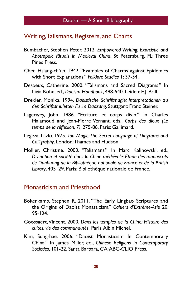#### Writing, Talismans, Registers, and Charts

- Bumbacher, Stephen Peter. 2012. *Empowered Writing: Exorcistic and Apotropaic Rituals in Medieval China*. St Petersburg, FL: Three Pines Press.
- Chen Hsiang-ch'un. 1942. "Examples of Charms against Epidemics with Short Explanations." *Folklore Studies* 1: 37-54.
- Despeux, Catherine. 2000. "Talismans and Sacred Diagrams." In Livia Kohn, ed., *Daoism Handbook*, 498-540. Leiden: E.J. Brill.
- Drexler, Monika. 1994. *Daoistische Schriftmagie: Interpretationen zu den Schriftamuletten Fu im Daozang*. Stuttgart: Franz Steiner.
- Lagerwey, John. 1986. "Ecriture et corps divin." In Charles Malamoud and Jean-Pierre Vernant, eds., *Corps des dieux (Le temps de la réflexion, 7)*, 275-86. Paris: Gallimard.
- Legeza, Lazlo. 1975. *Tao Magic: The Secret Language of Diagrams and Calligraphy*. London: Thames and Hudson.
- Mollier, Christine. 2003. "Talismans." In Marc Kalinowski, ed., *Divination et société dans la Chine médiévale: Étude des manuscrits de Dunhuang de la Bibliothèque nationale de France et de la British Library*, 405–29. Paris: Bibliothèque nationale de France.

#### Monasticism and Priesthood

- Bokenkamp, Stephen R. 2011. "The Early Lingbao Scriptures and the Origins of Daoist Monasticism." *Cahiers d'Extrême-Asie* 20: 95-124.
- Goossaert, Vincent. 2000. *Dans les temples de la Chine: Histoire des cultes, vie des communautés.* Paris, Albin Michel.
- Kim, Sung-hae. 2006. "Daoist Monasticism In Contemporary China." In James Miller, ed., *Chinese Religions in Contemporary Societies*, 101-22. Santa Barbara, CA: ABC-CLIO Press.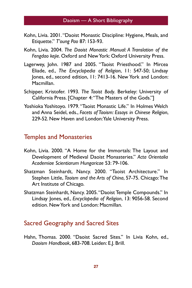- Kohn, Livia. 2001. "Daoist Monastic Discipline: Hygiene, Meals, and Etiquette." *T'oung Pao* 87: 153-93.
- Kohn, Livia. 2004. *The Daoist Monastic Manual: A Translation of the Fengdao kejie*. Oxford and New York: Oxford University Press.
- Lagerwey, John. 1987 and 2005. "Taoist Priesthood." In Mircea Eliade, ed., *The Encyclopedia of Religion*, 11: 547-50; Lindsay Jones, ed., second edition, 11: 7413-16. New York and London: Macmillan.
- Schipper, Kristofer. 1993. *The Taoist Body*. Berkeley: University of California Press. [Chapter 4: "The Masters of the Gods."]
- Yoshioka Yoshitoyo. 1979. "Taoist Monastic Life." In Holmes Welch and Anna Seidel, eds., *Facets of Taoism: Essays in Chinese Religion*, 229-52. New Haven and London: Yale University Press.

#### Temples and Monasteries

- Kohn, Livia. 2000. "A Home for the Immortals: The Layout and Development of Medieval Daoist Monasteries." *Acta Orientalia Academiae Scientiarum Hungaricae* 53: 79-106.
- Shatzman Steinhardt, Nancy. 2000. "Taoist Architecture." In Stephen Little, *Taoism and the Arts of China*, 57-75. Chicago: The Art Institute of Chicago.
- Shatzman Steinhardt, Nancy. 2005. "Daoist Temple Compounds." In Lindsay Jones, ed., *Encyclopedia of Religion*, 13: 9056-58. Second edition. New York and London: Macmillan.

# Sacred Geography and Sacred Sites

Hahn, Thomas. 2000. "Daoist Sacred Sites." In Livia Kohn, ed., *Daoism Handbook*, 683-708. Leiden: E.J. Brill.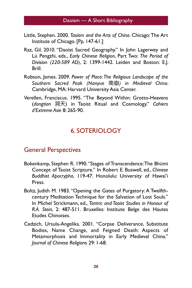- Little, Stephen. 2000. *Taoism and the Arts of China*. Chicago: The Art Institute of Chicago. [Pp. 147-61.]
- Raz, Gil. 2010. "Daoist Sacred Geography." In John Lagerwey and Lü Pengzhi, eds., *Early Chinese Religion*, Part Two: *The Period of Division (220-589 AD)*, 2: 1399-1442. Leiden and Boston: E.J. Brill.
- Robson, James. 2009. *Power of Place: The Religious Landscape of the Southern Sacred Peak (Nanyue* ܖ䑊*) in Medieval China*. Cambridge, MA: Harvard University Asia Center.
- Verellen, Franciscus. 1995. "The Beyond Within: Grotto-Heavens (*dongtian* ၏ॠ) in Taoist Ritual and Cosmology." *Cahiers d'Extreme Asie* 8: 265-90.

# 6. SOTERIOLOGY

#### General Perspectives

- Bokenkamp, Stephen R. 1990. "Stages of Transcendence: The Bhūmi Concept of Taoist Scripture." In Robert E. Buswell, ed., *Chinese Buddhist Apocrypha*, 119-47. Honolulu: University of Hawai'i Press.
- Boltz, Judith M. 1983. "Opening the Gates of Purgatory: A Twelfthcentury Meditation Technique for the Salvation of Lost Souls." In Michel Strickmann, ed., *Tantric and Taoist Studies in Honour of R.A. Stein*, 2: 487-511. Bruxelles: Institute Belge des Hautes Etudes Chinoises.
- Cedzich, Ursula-Angelika. 2001. "Corpse Deliverance, Substitute Bodies, Name Change, and Feigned Death: Aspects of Metamorphosis and Immortality in Early Medieval China." *Journal of Chinese Religion*s 29: 1-68.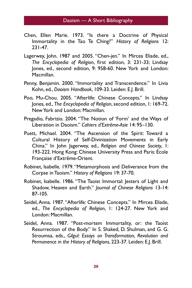- Chen, Ellen Marie. 1973. "Is there a Doctrine of Physical Immortality in the Tao Te Ching?" *History of Religions* 12: 231-47.
- Lagerwey, John. 1987 and 2005. "Chen-jen." In Mircea Eliade, ed., *The Encyclopedia of Religion*, first edition, 3: 231-33; Lindsay Jones, ed., second edition, 9: 958-60. New York and London: Macmillan.
- Penny, Benjamin. 2000. "Immortality and Transcendence." In Livia Kohn, ed., *Daoism Handbook*, 109-33. Leiden: E.J. Brill.
- Poo, Mu-Chou. 2005. "Afterlife: Chinese Concepts." In Lindsay Jones, ed., *The Encyclopedia of Religion*, second edition, 1: 169-72. New York and London: Macmillan.
- Pregadio, Fabrizio. 2004. "The Notion of 'Form' and the Ways of Liberation in Daoism." *Cahiers d'Extrême-Asie* 14: 95–130.
- Puett, Michael. 2004. "The Ascension of the Spirit: Toward a Cultural History of Self-Divinization Movements in Early China." In John Jagerwey, ed., *Religion and Chinese Society*, 1: 193-222. Hong Kong: Chinese University Press and Paris: École Française d'Extrême-Orient.
- Robinet, Isabelle. 1979. "Metamorphosis and Deliverance from the Corpse in Taoism." *History of Religions* 19: 37-70.
- Robinet, Isabelle. 1986. "The Taoist Immortal: Jesters of Light and Shadow, Heaven and Earth." *Journal of Chinese Religions* 13-14: 87-105.
- Seidel, Anna. 1987. "Afterlife: Chinese Concepts." In Mircea Eliade, ed., *The Encyclopedia of Religion*, 1: 124-27. New York and London: Macmillan.
- Seidel, Anna. 1987. "Post-mortem Immortality, or: the Taoist Resurrection of the Body." In S. Shaked, D. Shulman, and G. G. Stroumsa, eds., *Gilgul: Essays on Transformation, Revolution and Permanence in the History of Religions*, 223-37. Leiden: E.J. Brill.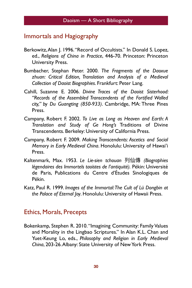#### Immortals and Hagiography

- Berkowitz, Alan J. 1996. "Record of Occultists." In Donald S. Lopez, ed., *Religions of China in Practice*, 446-70. Princeton: Princeton University Press.
- Bumbacher, Stephan Peter. 2000. *The Fragments of the Daoxue zhuan: Critical Edition, Translation and Analysis of a Medieval Collection of Daoist Biographies*. Frankfurt: Peter Lang.
- Cahill, Suzanne E. 2006. *Divine Traces of the Daoist Sisterhood: "Records of the Assembled Transcendents of the Fortified Walled city," by Du Guangting (850-933)*. Cambridge, MA: Three Pines Press.
- Campany, Robert F. 2002. *To Live as Long as Heaven and Earth: A Translation and Study of Ge Hong's* Traditions of Divine Transcendents. Berkeley: University of California Press.
- Campany, Robert F. 2009. *Making Transcendents: Ascetics and Social Memory in Early Medieval China*. Honolulu: University of Hawai'i Press.
- Kaltenmark, Max. 1953. Le Lie-sien tchouan 列仙傳 *(Biographies légendaires des Immortels taoïstes de l'antiquité).* Pékin: Université de Paris, Publications du Centre d'Études Sinologiques de Pékin.
- Katz, Paul R. 1999. *Images of the Immortal: The Cult of Lü Dongbin at the Palace of Eternal Joy*. Honolulu: University of Hawaii Press.

#### Ethics, Morals, Precepts

Bokenkamp, Stephen R. 2010. "Imagining Community: Family Values and Morality in the Lingbao Scriptures." In Alan K.L. Chan and Yuet-Keung Lo, eds., *Philosophy and Religion in Early Medieval China*, 203-26. Albany: State University of New York Press.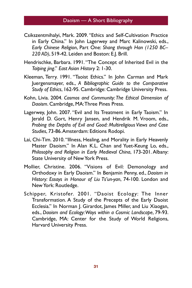- Csikszentmihalyi, Mark. 2009. "Ethics and Self-Cultivation Practice in Early China." In John Lagerwey and Marc Kalinowski, eds., *Early Chinese Religion*, Part One: *Shang through Han (1250 BC– 220 AD)*, 519-42. Leiden and Boston: E.J. Brill.
- Hendrischke, Barbara. 1991. "The Concept of Inherited Evil in the *Taiping jing*." *East Asian History* 2: 1-30.
- Kleeman, Terry. 1991. "Taoist Ethics." In John Carman and Mark Juergensmayer, eds., *A Bibliographic Guide to the Comparative Study of Ethics*, 162-95. Cambridge: Cambridge University Press.
- Kohn, Livia. 2004. *Cosmos and Community: The Ethical Dimension of Daoism*. Cambridge, MA: Three Pines Press.
- Lagerwey, John. 2007. "Evil and Its Treatment in Early Taoism." In Jerald D. Gort, Henry Jansen, and Hendrik M. Vroom, eds., *Probing the Depths of Evil and Good: Multireligious Views and Case Studies*, 73-86. Amsterdam: Editions Rodopi.
- Lai, Chi-Tim. 2010. "Illness, Healing, and Morality in Early Heavenly Master Daoism." In Alan K.L. Chan and Yuet-Keung Lo, eds., *Philosophy and Religion in Early Medieval China*, 173-201. Albany: State University of New York Press.
- Mollier, Christine. 2006. "Visions of Evil: Demonology and Orthodoxy in Early Daoism." In Benjamin Penny, ed., *Daoism in History: Essays in Honour of Liu Ts'un-yan*, 74-100. London and New York: Routledge.
- Schipper, Kristofer. 2001. "Daoist Ecology: The Inner Transformation. A Study of the Precepts of the Early Daoist Ecclesia." In Norman J. Girardot, James Miller, and Liu Xiaogan, eds., *Daoism and Ecology: Ways within a Cosmic Landscape*, 79-93. Cambridge, MA: Center for the Study of World Religions, Harvard University Press.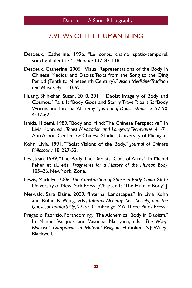#### 7. VIEWS OF THE HUMAN BEING

- Despeux, Catherine. 1996. "Le corps, champ spatio-temporel, souche d'identité." *L'Homme* 137: 87-118.
- Despeux, Catherine. 2005. "Visual Representations of the Body in Chinese Medical and Daoist Texts from the Song to the Qing Period (Tenth to Nineteenth Century)." *Asian Medicine: Tradition and Modernity* 1: 10-52.
- Huang, Shih-shan Susan. 2010, 2011. "Daoist Imagery of Body and Cosmos." Part 1: "Body Gods and Starry Travel"; part 2: "Body Worms and Internal Alchemy." *Journal of Daoist Studies* 3: 57-90; 4: 32-62.
- Ishida, Hidemi. 1989. "Body and Mind: The Chinese Perspective." In Livia Kohn, ed., *Taoist Meditation and Longevity Techniques*, 41-71. Ann Arbor: Center for Chinese Studies, University of Michigan.
- Kohn, Livia. 1991. "Taoist Visions of the Body." *Journal of Chinese Philosophy* 18: 227-52.
- Lévi, Jean. 1989. "The Body: The Daoists' Coat of Arms." In Michel Feher et al., eds., *Fragments for a History of the Human Body*, 105–26. New York: Zone.
- Lewis, Mark Ed. 2006. *The Construction of Space in Early China*. State University of New York Press. [Chapter 1: "The Human Body."]
- Neswald, Sara Elaine. 2009. "Internal Landscapes." In Livia Kohn and Robin R. Wang, eds., *Internal Alchemy: Self, Society, and the Quest for Immortality*, 27-52. Cambridge, MA: Three Pines Press.
- Pregadio, Fabrizio. Forthcoming. "The Alchemical Body in Daoism." In Manuel Vasquez and Vasudha Narayana, eds., *The Wiley-Blackwell Companion to Material Religion*. Hoboken, NJ: Wiley-Blackwell.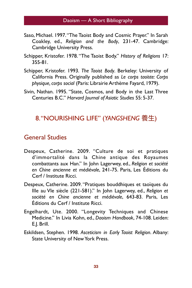- Saso, Michael. 1997. "The Taoist Body and Cosmic Prayer." In Sarah Coakley, ed., *Religion and the Body*, 231-47. Cambridge: Cambridge University Press.
- Schipper, Kristofer. 1978. "The Taoist Body." *History of Religions* 17: 355-81.
- Schipper, Kristofer. 1993. *The Taoist Body*. Berkeley: University of California Press. Originally published as *Le corps taoïste: Corps physique, corps social* (Paris: Librairie Arthème Fayard, 1979).
- Sivin, Nathan. 1995. "State, Cosmos, and Body in the Last Three Centuries B.C." *Harvard Journal of Asiatic Studies* 55: 5-37.

## 8. "NOURISHING LIFE" (*YANGSHENG* 養生)

## General Studies

- Despeux, Catherine. 2009. "Culture de soi et pratiques d'immortalité dans la Chine antique des Royaumes combattants aux Han." In John Lagerwey, ed., *Religion et société en Chine ancienne et médiévale*, 241-75. Paris, Les Éditions du Cerf / Institute Ricci.
- Despeux, Catherine. 2009. "Pratiques bouddhiques et taoïques du IIIe au VIe siècle (221-581)." In John Lagerwey, ed., *Religion et société en Chine ancienne et médiévale*, 643-83. Paris, Les Éditions du Cerf / Institute Ricci.
- Engelhardt, Ute. 2000. "Longevity Techniques and Chinese Medicine." In Livia Kohn, ed., *Daoism Handbook*, 74-108. Leiden: E.J. Brill.
- Eskildsen, Stephen. 1998. *Asceticism in Early Taoist Religion*. Albany: State University of New York Press.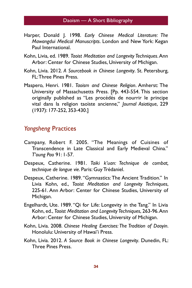- Harper, Donald J. 1998. *Early Chinese Medical Literature: The Mawangdui Medical Manuscripts*. London and New York: Kegan Paul International.
- Kohn, Livia, ed. 1989. *Taoist Meditation and Longevity Techniques*. Ann Arbor: Center for Chinese Studies, University of Michigan.
- Kohn, Livia. 2012. *A Sourcebook in Chinese Longevity*. St. Petersburg, FL: Three Pines Press.
- Maspero, Henri. 1981. *Taoism and Chinese Religion*. Amherst: The University of Massachusetts Press. [Pp. 443-554. This section originally published as "Les procédés de nourrir le principe vital dans la religion taoïste ancienne," *Journal Asiatique*, 229 (1937): 177-252, 353-430.]

#### *Yangsheng* Practices

- Campany, Robert F. 2005. "The Meanings of Cuisines of Transcendence in Late Classical and Early Medieval China." *T'oung Pao* 91: 1-57.
- Despeux, Catherine. 1981. *Taiki k'uan: Technique de combat, technique de longue vie*. Paris: Guy Trédaniel.
- Despeux, Catherine. 1989. "Gymnastics: The Ancient Tradition." In Livia Kohn, ed., *Taoist Meditation and Longevity Techniques*, 225-61. Ann Arbor: Center for Chinese Studies, University of Michigan.
- Engelhardt, Ute. 1989. "Qi for Life: Longevity in the Tang." In Livia Kohn, ed., *Taoist Meditation and Longevity Techniques*, 263-96. Ann Arbor: Center for Chinese Studies, University of Michigan.
- Kohn, Livia. 2008. *Chinese Healing Exercises: The Tradition of Daoyin*. Honolulu: University of Hawai'i Press.
- Kohn, Livia. 2012. *A Source Book in Chinese Longevity*. Dunedin, FL: Three Pines Press.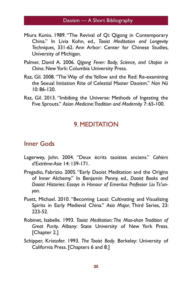- Miura Kunio. 1989. "The Revival of Qi: Qigong in Contemporary China." In Livia Kohn, ed., *Taoist Meditation and Longevity Techniques*, 331-62. Ann Arbor: Center for Chinese Studies, University of Michigan.
- Palmer, David A. 2006. *Qigong Fever: Body, Science, and Utopia in China*. New York: Columbia University Press.
- Raz, Gil. 2008. "The Way of the Yellow and the Red: Re-examining the Sexual Initiation Rite of Celestial Master Daoism." *Nan Nü* 10: 86-120.
- Raz, Gil. 2013. "Imbibing the Universe: Methods of Ingesting the Five Sprouts." *Asian Medicine: Tradition and Modernity* 7: 65-100.

## 9. MEDITATION

#### Inner Gods

- Lagerwey, John. 2004. "Deux écrits taoïstes anciens." *Cahiers d'Extrême-Asie* 14: 139-171.
- Pregadio, Fabrizio. 2005. "Early Daoist Meditation and the Origins of Inner Alchemy." In Benjamin Penny, ed., *Daoist Books and Daoist Histories: Essays in Honour of Emeritus Professor Liu Ts'unyan*.
- Puett, Michael. 2010. "Becoming Laozi: Cultivating and Visualizing Spirits in Early Medieval China." *Asia Major*, Third Series, 23: 223-52.
- Robinet, Isabelle. 1993. *Taoist Meditation: The Mao-shan Tradition of Great Purity*. Albany: State University of New York Press. [Chapter 2.]
- Schipper, Kristofer. 1993. *The Taoist Body*. Berkeley: University of California Press. [Chapters 6 and 8.]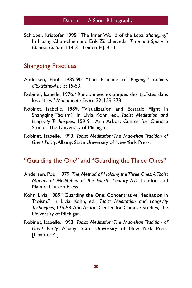Schipper, Kristofer. 1995. "The Inner World of the *Laozi zhongjing*." In Huang Chun-chieh and Erik Zürcher, eds., *Time and Space in Chinese Culture*, 114-31. Leiden: E.J. Brill.

#### Shangqing Practices

- Andersen, Poul. 1989-90. "The Practice of *Bugang.*" *Cahiers d'Extrême-Asie* 5: 15-53.
- Robinet, Isabelle. 1976. "Randonnées extatiques des taoïstes dans les astres." *Monumenta Serica* 32: 159-273.
- Robinet, Isabelle. 1989. "Visualization and Ecstatic Flight in Shangqing Taoism." In Livia Kohn, ed., *Taoist Meditation and Longevity Techniques*, 159-91. Ann Arbor: Center for Chinese Studies, The University of Michigan.
- Robinet, Isabelle. 1993. *Taoist Meditation: The Mao-shan Tradition of Great Purity*. Albany: State University of New York Press.

#### "Guarding the One" and "Guarding the Three Ones"

- Andersen, Poul. 1979. *The Method of Holding the Three Ones: A Taoist Manual of Meditation of the Fourth Century A.D*. London and Malmö: Curzon Press.
- Kohn, Livia. 1989. "Guarding the One: Concentrative Meditation in Taoism." In Livia Kohn, ed., *Taoist Meditation and Longevity Techniques*, 125-58. Ann Arbor: Center for Chinese Studies, The University of Michigan.
- Robinet, Isabelle. 1993. *Taoist Meditation: The Mao-shan Tradition of Great Purity*. Albany: State University of New York Press. [Chapter 4.]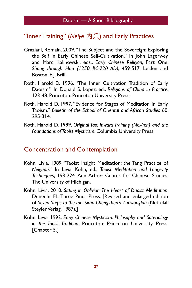# "Inner Training" (Neiye 內業) and Early Practices

- Graziani, Romain. 2009. "The Subject and the Sovereign: Exploring the Self in Early Chinese Self-Cultivation." In John Lagerwey and Marc Kalinowski, eds., *Early Chinese Religion*, Part One: *Shang through Han (1250 BC-220 AD)*, 459-517. Leiden and Boston: E.J. Brill.
- Roth, Harold D. 1996. "The Inner Cultivation Tradition of Early Daoism." In Donald S. Lopez, ed., *Religions of China in Practice*, 123-48. Princeton: Princeton University Press.
- Roth, Harold D. 1997. "Evidence for Stages of Meditation in Early Taoism." *Bulletin of the School of Oriental and African Studies* 60: 295-314.
- Roth, Harold D. 1999. *Original Tao: Inward Training (Nei-Yeh) and the Foundations of Taoist Mysticism*. Columbia University Press.

#### Concentration and Contemplation

- Kohn, Livia. 1989. "Taoist Insight Meditation: the Tang Practice of *Neiguan*." In Livia Kohn, ed., *Taoist Meditation and Longevity Techniques*, 193-224. Ann Arbor: Center for Chinese Studies, The University of Michigan.
- Kohn, Livia. 2010. *Sitting in Oblivion: The Heart of Daoist Meditation*. Dunedin, FL: Three Pines Press. [Revised and enlarged edition of *Seven Steps to the Tao: Sima Chengzhen's Zuowanglun* (Nettelal: Steyler Verlag, 1987).]
- Kohn, Livia. 1992. *Early Chinese Mysticism: Philosophy and Soteriology in the Taoist Tradition*. Princeton: Princeton University Press. [Chapter 5.]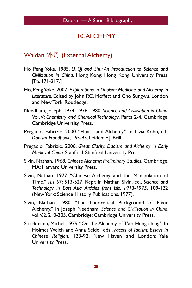# 10. ALCHEMY

## Waidan  $\sqrt[4]{\mathcal{H}}$  (External Alchemy)

- Ho Peng Yoke. 1985. *Li, Qi and Shu: An Introduction to Science and Civilization in China*. Hong Kong: Hong Kong University Press. [Pp. 171-217.]
- Ho, Peng Yoke. 2007. *Explorations in Daoism: Medicine and Alchemy in Literature*. Edited by John P.C. Moffett and Cho Sungwu. London and New Tork: Routledge.
- Needham, Joseph. 1974, 1976, 1980. *Science and Civilisation in China*. Vol. V: *Chemistry and Chemical Technology*. Parts 2-4. Cambridge: Cambridge University Press.
- Pregadio, Fabrizio. 2000. "Elixirs and Alchemy." In Livia Kohn, ed., *Daoism Handbook*, 165-95. Leiden: E.J. Brill.
- Pregadio, Fabrizio. 2006. *Great Clarity: Daoism and Alchemy in Early Medieval China*. Stanford: Stanford University Press.
- Sivin, Nathan. 1968. *Chinese Alchemy: Preliminary Studies*. Cambridge, MA: Harvard University Press.
- Sivin, Nathan. 1977. "Chinese Alchemy and the Manipulation of Time." *Isis* 67: 513-527. Repr. in Nathan Sivin, ed., *Science and Technology in East Asia. Articles from Isis, 1913-1975*, 109-122 (New York: Science History Publications, 1977).
- Sivin, Nathan. 1980. "The Theoretical Background of Elixir Alchemy." In Joseph Needham, *Science and Civilisation in China*, vol. V.2, 210-305. Cambridge: Cambridge University Press.
- Strickmann, Michel. 1979. "On the Alchemy of T'ao Hung-ching." In Holmes Welch and Anna Seidel, eds., *Facets of Taoism: Essays in Chinese Religion*, 123-92. New Haven and London: Yale University Press.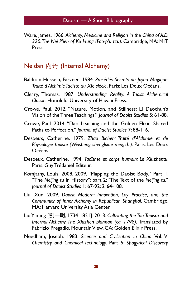Ware, James. 1966. *Alchemy, Medicine and Religion in the China of A.D. 320: The Nei P'ien of Ko Hung (Pao-p'u tzu)*. Cambridge, MA: MIT Press.

#### $N$ eidan 内丹 (Internal Alchemy)

- Baldrian-Hussein, Farzeen. 1984. *Procédés Secrets du Joyau Magique: Traité d'Alchimie Taoïste du XIe siècle*. Paris: Les Deux Océans.
- Cleary, Thomas. 1987. *Understanding Reality: A Taoist Alchemical Classic*. Honolulu: University of Hawaii Press.
- Crowe, Paul. 2012. "Nature, Motion, and Stillness: Li Daochun's Vision of the Three Teachings." *Journal of Daoist Studies* 5: 61-88.
- Crowe, Paul. 2014, "Dao Learning and the Golden Elixir: Shared Paths to Perfection." *Journal of Daoist Studies* 7: 88-116.
- Despeux, Catherine. 1979. *Zhao Bichen: Traité d'Alchimie et de Physiologie taoïste (Weisheng shenglixue mingzhi)*. Paris: Les Deux Océans.
- Despeux, Catherine. 1994. *Taoïsme et corps humain: Le Xiuzhentu*. Paris: Guy Trédaniel Editeur.
- Komjathy, Louis. 2008, 2009. "Mapping the Daoist Body." Part 1: "The *Neijing tu* in History"; part 2: "The Text of the *Neijing tu*." *Journal of Daoist Studies* 1: 67-92; 2: 64-108.
- Liu, Xun. 2009. *Daoist Modern: Innovation, Lay Practice, and the Community of Inner Alchemy in Republican Shanghai*. Cambridge, MA: Harvard University Asia Center.
- Liu Yiming [㴤Ӟก, 1734-1821]. 2013. *Cultivating the Tao: Taoism and Internal Alchemy. The Xiuzhen biannan (ca. 1798).* Translated by Fabrizio Pregadio. Mountain View, CA: Golden Elixir Press.
- Needham, Joseph. 1983. *Science and Civilisation in China*. Vol. V: *Chemistry and Chemical Technology*. Part 5: *Spagyrical Discovery*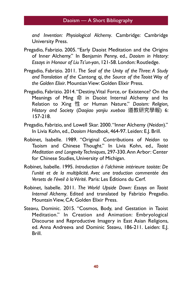*and Invention: Physiological Alchemy*. Cambridge: Cambridge University Press.

- Pregadio, Fabrizio. 2005. "Early Daoist Meditation and the Origins of Inner Alchemy." In Benjamin Penny, ed., *Daoism in History: Essays in Honour of Liu Ts'un-yan*, 121-58. London: Routledge.
- Pregadio, Fabrizio. 2011. *The Seal of the Unity of the Three: A Study and Translation of the* Cantong qi*, the Source of the Taoist Way of the Golden Elixir*. Mountian View: Golden Elixir Press.
- Pregadio, Fabrizio. 2014. "Destiny, Vital Force, or Existence? On the Meanings of Ming 命 in Daoist Internal Alchemy and Its Relation to Xing 性 or Human Nature." Daoism: Religion, *History and Society* (*Daojiao yanjiu xuebao* 螇硽Ꮈ绗䋊䁭) 6: 157-218.
- Pregadio, Fabrizio, and Lowell Skar. 2000. "Inner Alchemy (*Neidan*)." In Livia Kohn, ed., *Daoism Handbook*, 464-97. Leiden: E.J. Brill.
- Robinet, Isabelle. 1989. "Original Contributions of *Neidan* to Taoism and Chinese Thought." In Livia Kohn, ed., *Taoist Meditation and Longevity Techniques*, 297-330. Ann Arbor: Center for Chinese Studies, University of Michigan.
- Robinet, Isabelle. 1995. *Introduction à l'alchimie intérieure taoïste: De l'unité et de la multiplicité. Avec une traduction commentée des Versets de l'éveil à la Vérité.* Paris: Les Éditions du Cerf.
- Robinet, Isabelle. 2011. *The World Upside Down: Essays on Taoist Internal Alchemy*. Edited and translated by Fabrizio Pregadio. Mountain View, CA: Golden Elixir Press.
- Steavu, Dominic. 2015. "Cosmos, Body, and Gestation in Taoist Meditation." In Creation and Animation: Embryological Discourse and Reproductive Imagery in East Asian Religions, ed. Anna Andreeva and Dominic Steavu, 186-211. Leiden: E.J. Brill.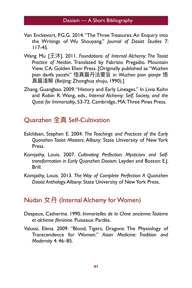- Van Enckevort, P.G.G. 2014. "The Three Treasures: An Enquiry into the Writings of Wu Shouyang." *Journal of Daoist Studies* 7: 117-45.
- Wang Mu <sup>[王沐]</sup>. 2011. *Foundations of Internal Alchemy: The Taoist Practice of Neidan*. Translated by Fabrizio Pregadio. Mountain View, CA: Golden Elixir Press. [Originally published as "*Wuzhen*  pian danfa yaozhi" 悟真篇丹法要旨 in Wuzhen pian qianjie 悟 真篇淺解 (Beijing: Zhonghua shuju, 1990).]
- Zhang, Guangbao. 2009. "History and Early Lineages." In Livia Kohn and Robin R. Wang, eds., *Internal Alchemy: Self, Society, and the Quest for Immortality*, 53-72. Cambridge, MA: Three Pines Press.

# **Ouanzhen 全真 Self-Cultivation**

- Eskildsen, Stephen E. 2004. *The Teachings and Practices of the Early Quanzhen Taoist Masters*. Albany: State University of New York Press.
- Komjathy, Louis. 2007. *Cultivating Perfection: Mysticism and Selftransformation in Early Quanzhen Daoism*. Leyden and Boston: E.J. Brill.
- Komjathy, Louis. 2013. *The Way of Complete Perfection: A Quanzhen Daoist Antholog*y. Albany: State University of New York Press.

## $N$ üdan 女丹 (Internal Alchemy for Women)

- Despeux, Catherine. 1990. *Immortelles de la Chine ancienne: Taoïsme et alchimie féminine*. Puiseaux: Pardès.
- Valussi, Elena. 2009. "Blood, Tigers, Dragons: The Physiology of Transcendence for Women." *Asian Medicine: Tradition and Modernity* 4: 46–85.